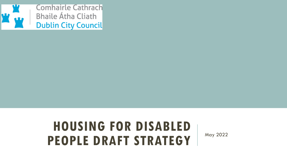

## **HOUSING FOR DISABLED PEOPLE DRAFT STRATEGY** May 2022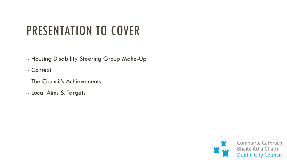# PRESENTATION TO COVER

- Housing Disability Steering Group Make-Up
- Context
- The Council's Achievements
- Local Aims & Targets

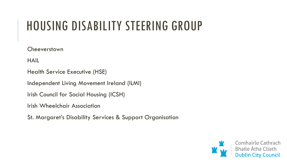## HOUSING DISABILITY STEERING GROUP

**Cheeverstown** 

HAIL

Health Service Executive (HSE)

Independent Living Movement Ireland (ILMI)

Irish Council for Social Housing (ICSH)

Irish Wheelchair Association

St. Margaret's Disability Services & Support Organisation

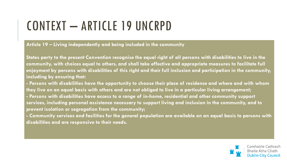# CONTEXT – ARTICLE 19 UNCRPD

#### **Article 19 – Living independently and being included in the community**

**States party to the present Convention recognise the equal right of all persons with disabilities to live in the community, with choices equal to others, and shall take effective and appropriate measures to facilitate full enjoyment by persons with disabilities of this right and their full inclusion and participation in the community, including by ensuring that:**

**- Persons with disabilities have the opportunity to choose their place of residence and where and with whom they live on an equal basis with others and are not obliged to live in a particular living arrangement; - Persons with disabilities have access to a range of in-home, residential and other community support services, including personal assistance necessary to support living and inclusion in the community, and to prevent isolation or segregation from the community;**

**- Community services and facilities for the general population are available on an equal basis to persons with disabilities and are responsive to their needs.**

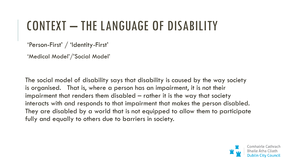## CONTEXT – THE LANGUAGE OF DISABILITY

'Person-First' / 'Identity-First'

'Medical Model'/'Social Model'

The social model of disability says that disability is caused by the way society is organised. That is, where a person has an impairment, it is not their impairment that renders them disabled – rather it is the way that society interacts with and responds to that impairment that makes the person disabled. They are disabled by a world that is not equipped to allow them to participate fully and equally to others due to barriers in society.

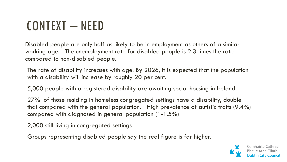## CONTEXT – NEED

Disabled people are only half as likely to be in employment as others of a similar working age. The unemployment rate for disabled people is 2.3 times the rate compared to non-disabled people.

The rate of disability increases with age. By 2026, it is expected that the population with a disability will increase by roughly 20 per cent.

5,000 people with a registered disability are awaiting social housing in Ireland.

27% of those residing in homeless congregated settings have a disability, double that compared with the general population. High prevalence of autistic traits (9.4%) compared with diagnosed in general population (1-1.5%)

2,000 still living in congregated settings

Groups representing disabled people say the real figure is far higher.

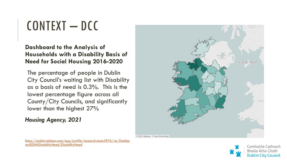## CONTEXT – DCC

#### **Dashboard to the Analysis of Households with a Disability Basis of Need for Social Housing 2016-2020**

The percentage of people in Dublin City Council's waiting list with Disability as a basis of need is 0.3%. This is the lowest percentage figure across all County/City Councils, and significantly lower than the highest 27%

#### *Housing Agency, 2021*



[https://public.tableau.com/app/profile/research.team3976/viz/Dashbo](https://public.tableau.com/app/profile/research.team3976/viz/DashboardSSHADisabilityNeed/DisabilityNeed) ardSSHADisabilityNeed/DisabilityNeed

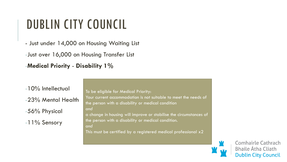## DUBLIN CITY COUNCIL

- Just under 14,000 on Housing Waiting List -Just over 16,000 on Housing Transfer List -**Medical Priority** - **Disability 1%**

-10% Intellectual -23% Mental Health -56% Physical -11% Sensory

To be eligible for Medical Priority: Your current accommodation is not suitable to meet the needs of the person with a disability or medical condition *and* a change in housing will improve or stabilise the circumstances of the person with a disability or medical condition. *and* This must be certified by a registered medical professional x2

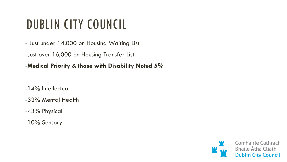## DUBLIN CITY COUNCIL

- Just under 14,000 on Housing Waiting List

-Just over 16,000 on Housing Transfer List

-**Medical Priority & those with Disability Noted 5%**

-14% Intellectual

-33% Mental Health

-43% Physical

-10% Sensory

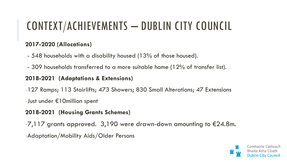## CONTEXT/ACHIEVEMENTS – DUBLIN CITY COUNCIL

#### **2017-2020 (Allocations)**

- 548 households with a disability housed (13% of those housed).
- 309 households transferred to a more suitable home (12% of transfer list).

#### **2018-2021 (Adaptations & Extensions)**

- -127 Ramps; 113 Stairlifts; 473 Showers; 830 Small Alterations; 47 Extensions
- -Just under €10million spent

### **2018-2021 (Housing Grants Schemes)**

- $-7,117$  grants approved. 3,190 were drawn-down amounting to  $\epsilon$ 24.8m.
- -Adaptation/Mobility Aids/Older Persons

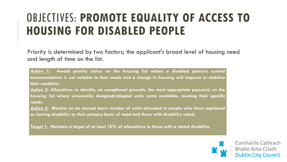## OBJECTIVES: **PROMOTE EQUALITY OF ACCESS TO HOUSING FOR DISABLED PEOPLE**

Priority is determined by two factors; the applicant's broad level of housing need and length of time on the list.

**Action 1: Award priority status on the housing list where a disabled person's current accommodation is not suitable to their needs and a change in housing will improve or stabilise their condition.**

**Action 2: Allocations to identify, on exceptional grounds, the most appropriate person(s) on the housing list where universally designed/adapted units come available, meeting their specific needs.**

**Action 3: Monitor on an annual basis number of units allocated to people who have registered as having disability as their primary basis of need and those with disability noted.**

**Target 1: Maintain a target of at least 10% of allocations to those with a stated disability.**

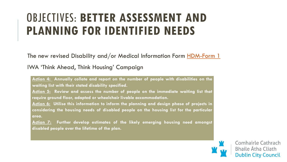## OBJECTIVES: **BETTER ASSESSMENT AND PLANNING FOR IDENTIFIED NEEDS**

The new revised Disability and/or Medical Information Form [HDM-Form 1](https://www.dublincity.ie/sites/default/files/2021-05/hmd-form-1.pdf)

IWA 'Think Ahead, Think Housing' Campaign

**Action 4: Annually collate and report on the number of people with disabilities on the waiting list with their stated disability specified.**

**Action 5: Review and assess the number of people on the immediate waiting list that require ground floor, adapted or wheelchair livable accommodation.**

**Action 6: Utilise this information to inform the planning and design phase of projects in considering the housing needs of disabled people on the housing list for the particular area.**

**Action 7: Further develop estimates of the likely emerging housing need amongst disabled people over the lifetime of the plan.**

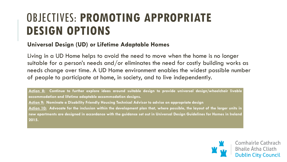### OBJECTIVES: **PROMOTING APPROPRIATE DESIGN OPTIONS**

#### **Universal Design (UD) or Lifetime Adaptable Homes**

Living in a UD Home helps to avoid the need to move when the home is no longer suitable for a person's needs and/or eliminates the need for costly building works as needs change over time. A UD Home environment enables the widest possible number of people to participate at home, in society, and to live independently.

**Action 8: Continue to further explore ideas around suitable design to provide universal design/wheelchair livable accommodation and lifetime adaptable accommodation designs.**

**Action 9: Nominate a Disability Friendly Housing Technical Advisor to advise on appropriate design**

Action 10: Advocate for the inclusion within the development plan that, where possible, the layout of the larger units in new apartments are designed in accordance with the guidance set out in Universal Design Guidelines for Homes in Ireland **2015.**

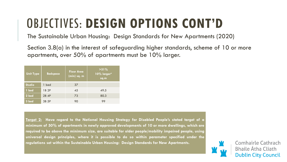# OBJECTIVES: **DESIGN OPTIONS CONT'D**

The Sustainable Urban Housing: Design Standards for New Apartments (2020)

Section 3.8(a) in the interest of safeguarding higher standards, scheme of 10 or more apartments, over 50% of apartments must be 10% larger.

| <b>Unit Type</b> | <b>Bedspace</b> | <b>Floor Area</b><br>(min) sq. m | $>51\%$<br>10% larger*<br>sq.m |
|------------------|-----------------|----------------------------------|--------------------------------|
| <b>Studio</b>    | 1 bed           | 37                               |                                |
| 1 bed            | 1B 2P           | 45                               | 49.5                           |
| 2 bed            | 2B 4P           | 73                               | 80.3                           |
| 3 bed            | 3B 5P           | 90                               | 99                             |

**Target 2: Have regard to the National Housing Strategy for Disabled People's stated target of a minimum of 50% of apartments in newly approved developments of 10 or more dwellings, which are required to be above the minimum size, are suitable for older people/mobility impaired people, using universal design principles, where it is possible to do so within parameter specified under the regulations set within the Sustainable Urban Housing: Design Standards for New Apartments.**

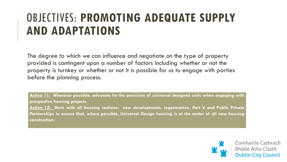## OBJECTIVES: **PROMOTING ADEQUATE SUPPLY AND ADAPTATIONS**

The degree to which we can influence and negotiate on the type of property provided is contingent upon a number of factors including whether or not the property is turnkey or whether or not it is possible for us to engage with parties before the planning process.

**Action 11: Wherever possible, advocate for the provision of universal designed units when engaging with prospective housing projects.**

**Action 12: Work with all housing sections: new developments, regeneration, Part V and Public Private Partnerships to ensure that, where possible, Universal Design housing is at the center of all new housing construction.**